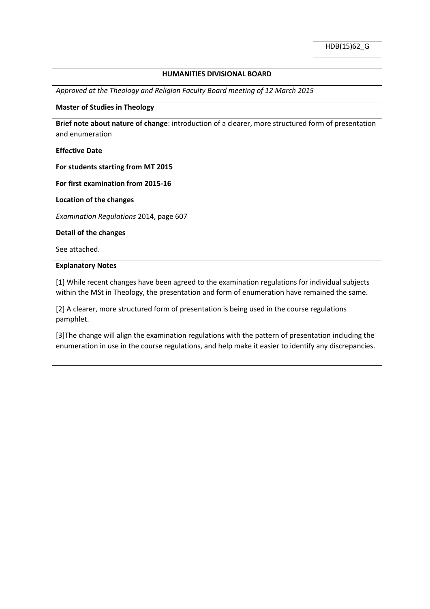#### **HUMANITIES DIVISIONAL BOARD**

*Approved at the Theology and Religion Faculty Board meeting of 12 March 2015*

### **Master of Studies in Theology**

**Brief note about nature of change**: introduction of a clearer, more structured form of presentation and enumeration

**Effective Date**

**For students starting from MT 2015** 

**For first examination from 2015-16**

**Location of the changes**

*Examination Regulations* 2014, page 607

**Detail of the changes**

See attached.

#### **Explanatory Notes**

[1] While recent changes have been agreed to the examination regulations for individual subjects within the MSt in Theology, the presentation and form of enumeration have remained the same.

[2] A clearer, more structured form of presentation is being used in the course regulations pamphlet.

[3]The change will align the examination regulations with the pattern of presentation including the enumeration in use in the course regulations, and help make it easier to identify any discrepancies.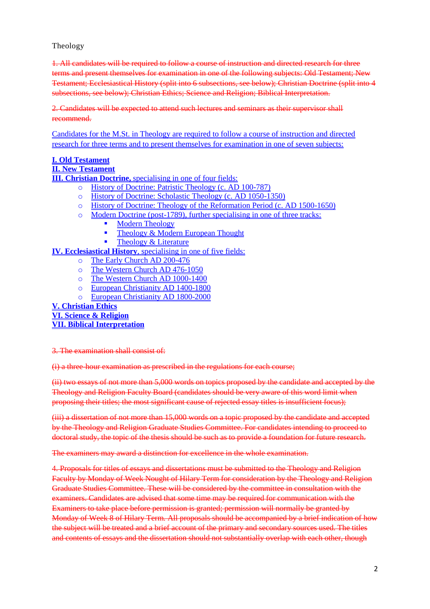# Theology

1. All candidates will be required to follow a course of instruction and directed research for three terms and present themselves for examination in one of the following subjects: Old Testament; New Testament; Ecclesiastical History (split into 6 subsections, see below); Christian Doctrine (split into 4 subsections, see below); Christian Ethics; Science and Religion; Biblical Interpretation.

2. Candidates will be expected to attend such lectures and seminars as their supervisor shall recommend.

Candidates for the M.St. in Theology are required to follow a course of instruction and directed research for three terms and to present themselves for examination in one of seven subjects:

# **I. Old Testament**

### **II. New Testament**

**III. Christian Doctrine,** specialising in one of four fields:

- o History of Doctrine: Patristic Theology (c. AD 100-787)
- o History of Doctrine: Scholastic Theology (c. AD 1050-1350)
- o History of Doctrine: Theology of the Reformation Period (c. AD 1500-1650)
- o Modern Doctrine (post-1789), further specialising in one of three tracks:
	- Modern Theology
		- $\blacksquare$  Theology & Modern European Thought
		- Theology & Literature
- **IV. Ecclesiastical History**, specialising in one of five fields:
	- o The Early Church AD 200-476
	- o The Western Church AD 476-1050
	- o The Western Church AD 1000-1400
	- o European Christianity AD 1400-1800
	- o European Christianity AD 1800-2000

# **V. Christian Ethics**

**VI. Science & Religion VII. Biblical Interpretation**

3. The examination shall consist of:

(i) a three-hour examination as prescribed in the regulations for each course;

(ii) two essays of not more than 5,000 words on topics proposed by the candidate and accepted by the Theology and Religion Faculty Board (candidates should be very aware of this word limit when proposing their titles; the most significant cause of rejected essay titles is insufficient focus);

(iii) a dissertation of not more than 15,000 words on a topic proposed by the candidate and accepted by the Theology and Religion Graduate Studies Committee. For candidates intending to proceed to doctoral study, the topic of the thesis should be such as to provide a foundation for future research.

The examiners may award a distinction for excellence in the whole examination.

4. Proposals for titles of essays and dissertations must be submitted to the Theology and Religion Faculty by Monday of Week Nought of Hilary Term for consideration by the Theology and Religion Graduate Studies Committee. These will be considered by the committee in consultation with the examiners. Candidates are advised that some time may be required for communication with the Examiners to take place before permission is granted; permission will normally be granted by Monday of Week 8 of Hilary Term. All proposals should be accompanied by a brief indication of how the subject will be treated and a brief account of the primary and secondary sources used. The titles and contents of essays and the dissertation should not substantially overlap with each other, though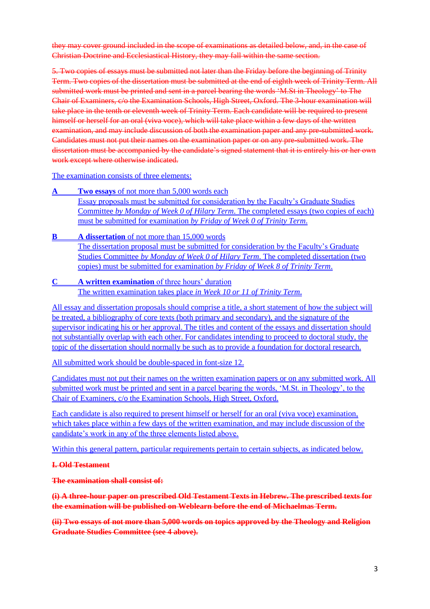they may cover ground included in the scope of examinations as detailed below, and, in the case of Christian Doctrine and Ecclesiastical History, they may fall within the same section.

5. Two copies of essays must be submitted not later than the Friday before the beginning of Trinity Term. Two copies of the dissertation must be submitted at the end of eighth week of Trinity Term. All submitted work must be printed and sent in a parcel bearing the words 'M.St in Theology' to The Chair of Examiners, c/o the Examination Schools, High Street, Oxford. The 3-hour examination will take place in the tenth or eleventh week of Trinity Term. Each candidate will be required to present himself or herself for an oral (viva voce), which will take place within a few days of the written examination, and may include discussion of both the examination paper and any pre-submitted work. Candidates must not put their names on the examination paper or on any pre-submitted work. The dissertation must be accompanied by the candidate's signed statement that it is entirely his or her own work except where otherwise indicated.

The examination consists of three elements:

- **Two essays** of not more than 5,000 words each Essay proposals must be submitted for consideration by the Faculty's Graduate Studies Committee *by Monday of Week 0 of Hilary Term*. The completed essays (two copies of each) must be submitted for examination *by Friday of Week 0 of Trinity Term*.
- **B A dissertation** of not more than 15,000 words The dissertation proposal must be submitted for consideration by the Faculty's Graduate Studies Committee *by Monday of Week 0 of Hilary Term*. The completed dissertation (two copies) must be submitted for examination *by Friday of Week 8 of Trinity Term*.

### **C A written examination** of three hours' duration The written examination takes place *in Week 10 or 11 of Trinity Term*.

All essay and dissertation proposals should comprise a title, a short statement of how the subject will be treated, a bibliography of core texts (both primary and secondary), and the signature of the supervisor indicating his or her approval. The titles and content of the essays and dissertation should not substantially overlap with each other. For candidates intending to proceed to doctoral study, the topic of the dissertation should normally be such as to provide a foundation for doctoral research.

All submitted work should be double-spaced in font-size 12.

Candidates must not put their names on the written examination papers or on any submitted work. All submitted work must be printed and sent in a parcel bearing the words, 'M.St. in Theology', to the Chair of Examiners, c/o the Examination Schools, High Street, Oxford.

Each candidate is also required to present himself or herself for an oral (viva voce) examination, which takes place within a few days of the written examination, and may include discussion of the candidate's work in any of the three elements listed above.

Within this general pattern, particular requirements pertain to certain subjects, as indicated below.

**I. Old Testament**

**The examination shall consist of:**

**(i) A three-hour paper on prescribed Old Testament Texts in Hebrew. The prescribed texts for the examination will be published on Weblearn before the end of Michaelmas Term.**

**(ii) Two essays of not more than 5,000 words on topics approved by the Theology and Religion Graduate Studies Committee (see 4 above).**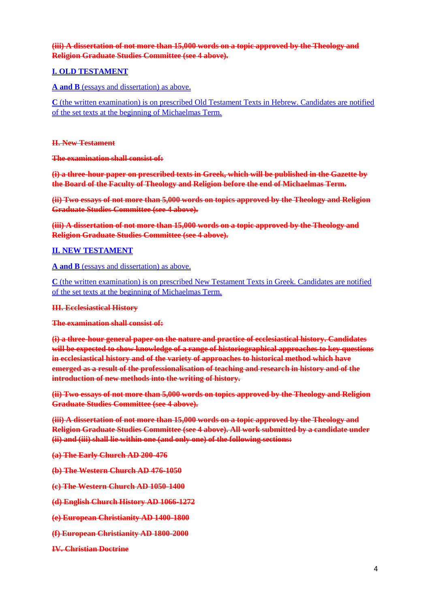# **(iii) A dissertation of not more than 15,000 words on a topic approved by the Theology and Religion Graduate Studies Committee (see 4 above).**

# **I. OLD TESTAMENT**

### **A and B** (essays and dissertation) as above.

**C** (the written examination) is on prescribed Old Testament Texts in Hebrew. Candidates are notified of the set texts at the beginning of Michaelmas Term.

#### **II. New Testament**

**The examination shall consist of:**

**(i) a three-hour paper on prescribed texts in Greek, which will be published in the Gazette by the Board of the Faculty of Theology and Religion before the end of Michaelmas Term.**

**(ii) Two essays of not more than 5,000 words on topics approved by the Theology and Religion Graduate Studies Committee (see 4 above).**

**(iii) A dissertation of not more than 15,000 words on a topic approved by the Theology and Religion Graduate Studies Committee (see 4 above).**

# **II. NEW TESTAMENT**

**A and B** (essays and dissertation) as above.

**C** (the written examination) is on prescribed New Testament Texts in Greek. Candidates are notified of the set texts at the beginning of Michaelmas Term.

#### **III. Ecclesiastical History**

**The examination shall consist of:**

**(i) a three-hour general paper on the nature and practice of ecclesiastical history. Candidates will be expected to show knowledge of a range of historiographical approaches to key questions in ecclesiastical history and of the variety of approaches to historical method which have emerged as a result of the professionalisation of teaching and research in history and of the introduction of new methods into the writing of history.**

**(ii) Two essays of not more than 5,000 words on topics approved by the Theology and Religion Graduate Studies Committee (see 4 above).**

**(iii) A dissertation of not more than 15,000 words on a topic approved by the Theology and Religion Graduate Studies Committee (see 4 above). All work submitted by a candidate under (ii) and (iii) shall lie within one (and only one) of the following sections:**

- **(a) The Early Church AD 200-476**
- **(b) The Western Church AD 476-1050**
- **(c) The Western Church AD 1050-1400**
- **(d) English Church History AD 1066-1272**
- **(e) European Christianity AD 1400-1800**
- **(f) European Christianity AD 1800-2000**
- **IV. Christian Doctrine**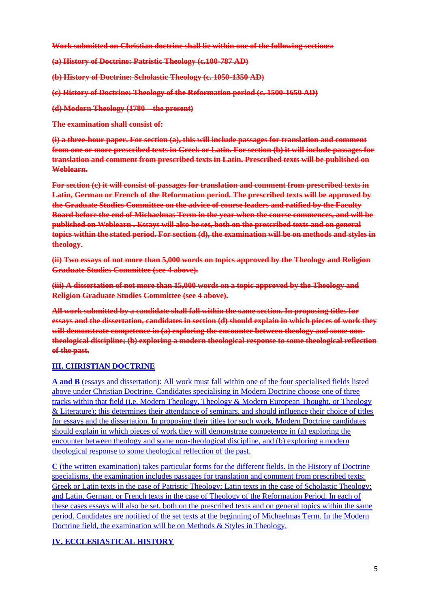**Work submitted on Christian doctrine shall lie within one of the following sections:**

**(a) History of Doctrine: Patristic Theology (c.100-787 AD)**

**(b) History of Doctrine: Scholastic Theology (c. 1050-1350 AD)**

- **(c) History of Doctrine: Theology of the Reformation period (c. 1500-1650 AD)**
- **(d) Modern Theology (1780 – the present)**

**The examination shall consist of:**

**(i) a three-hour paper. For section (a), this will include passages for translation and comment from one or more prescribed texts in Greek or Latin. For section (b) it will include passages for translation and comment from prescribed texts in Latin. Prescribed texts will be published on Weblearn.**

**For section (c) it will consist of passages for translation and comment from prescribed texts in Latin, German or French of the Reformation period. The prescribed texts will be approved by the Graduate Studies Committee on the advice of course leaders and ratified by the Faculty Board before the end of Michaelmas Term in the year when the course commences, and will be published on Weblearn . Essays will also be set, both on the prescribed texts and on general topics within the stated period. For section (d), the examination will be on methods and styles in theology.**

**(ii) Two essays of not more than 5,000 words on topics approved by the Theology and Religion Graduate Studies Committee (see 4 above).**

**(iii) A dissertation of not more than 15,000 words on a topic approved by the Theology and Religion Graduate Studies Committee (see 4 above).**

**All work submitted by a candidate shall fall within the same section. In proposing titles for essays and the dissertation, candidates in section (d) should explain in which pieces of work they will demonstrate competence in (a) exploring the encounter between theology and some nontheological discipline; (b) exploring a modern theological response to some theological reflection of the past.**

# **III. CHRISTIAN DOCTRINE**

**A and B** (essays and dissertation): All work must fall within one of the four specialised fields listed above under Christian Doctrine. Candidates specialising in Modern Doctrine choose one of three tracks within that field (i.e. Modern Theology, Theology & Modern European Thought, or Theology & Literature); this determines their attendance of seminars, and should influence their choice of titles for essays and the dissertation. In proposing their titles for such work, Modern Doctrine candidates should explain in which pieces of work they will demonstrate competence in (a) exploring the encounter between theology and some non-theological discipline, and (b) exploring a modern theological response to some theological reflection of the past.

**C** (the written examination) takes particular forms for the different fields. In the History of Doctrine specialisms, the examination includes passages for translation and comment from prescribed texts: Greek or Latin texts in the case of Patristic Theology; Latin texts in the case of Scholastic Theology; and Latin, German, or French texts in the case of Theology of the Reformation Period. In each of these cases essays will also be set, both on the prescribed texts and on general topics within the same period. Candidates are notified of the set texts at the beginning of Michaelmas Term. In the Modern Doctrine field, the examination will be on Methods & Styles in Theology.

# **IV. ECCLESIASTICAL HISTORY**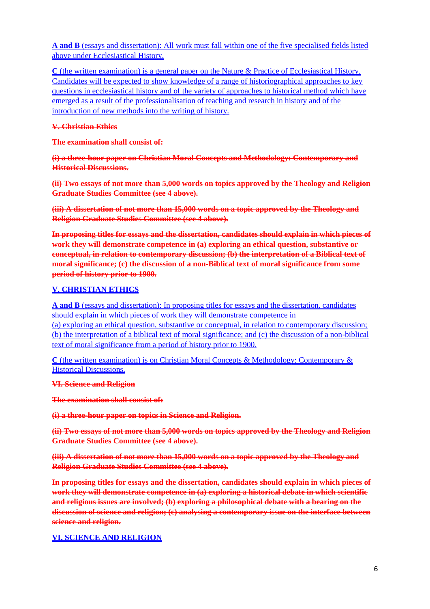**A and B** (essays and dissertation): All work must fall within one of the five specialised fields listed above under Ecclesiastical History.

**C** (the written examination) is a general paper on the Nature & Practice of Ecclesiastical History. Candidates will be expected to show knowledge of a range of historiographical approaches to key questions in ecclesiastical history and of the variety of approaches to historical method which have emerged as a result of the professionalisation of teaching and research in history and of the introduction of new methods into the writing of history.

#### **V. Christian Ethics**

**The examination shall consist of:**

**(i) a three-hour paper on Christian Moral Concepts and Methodology: Contemporary and Historical Discussions.**

**(ii) Two essays of not more than 5,000 words on topics approved by the Theology and Religion Graduate Studies Committee (see 4 above).**

**(iii) A dissertation of not more than 15,000 words on a topic approved by the Theology and Religion Graduate Studies Committee (see 4 above).**

**In proposing titles for essays and the dissertation, candidates should explain in which pieces of work they will demonstrate competence in (a) exploring an ethical question, substantive or conceptual, in relation to contemporary discussion; (b) the interpretation of a Biblical text of moral significance; (c) the discussion of a non-Biblical text of moral significance from some period of history prior to 1900.**

# **V. CHRISTIAN ETHICS**

**A and B** (essays and dissertation): In proposing titles for essays and the dissertation, candidates should explain in which pieces of work they will demonstrate competence in (a) exploring an ethical question, substantive or conceptual, in relation to contemporary discussion; (b) the interpretation of a biblical text of moral significance; and (c) the discussion of a non-biblical text of moral significance from a period of history prior to 1900.

**C** (the written examination) is on Christian Moral Concepts & Methodology: Contemporary & Historical Discussions.

**VI. Science and Religion**

**The examination shall consist of:**

**(i) a three-hour paper on topics in Science and Religion.**

**(ii) Two essays of not more than 5,000 words on topics approved by the Theology and Religion Graduate Studies Committee (see 4 above).**

**(iii) A dissertation of not more than 15,000 words on a topic approved by the Theology and Religion Graduate Studies Committee (see 4 above).**

**In proposing titles for essays and the dissertation, candidates should explain in which pieces of work they will demonstrate competence in (a) exploring a historical debate in which scientific and religious issues are involved; (b) exploring a philosophical debate with a bearing on the discussion of science and religion; (c) analysing a contemporary issue on the interface between science and religion.**

# **VI. SCIENCE AND RELIGION**